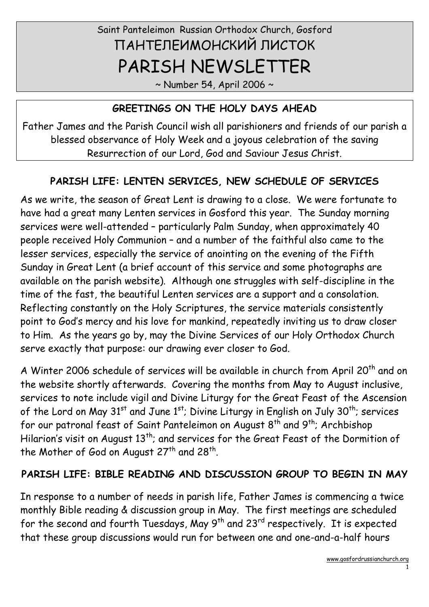# Saint Panteleimon Russian Orthodox Church, Gosford ПАНТЕЛЕИМОНСКИЙ ЛИСТОК PARISH NEWSLETTER

 $\sim$  Number 54, April 2006  $\sim$ 

#### GREETINGS ON THE HOLY DAYS AHEAD

Father James and the Parish Council wish all parishioners and friends of our parish a blessed observance of Holy Week and a joyous celebration of the saving Resurrection of our Lord, God and Saviour Jesus Christ.

#### PARISH LIFE: LENTEN SERVICES, NEW SCHEDULE OF SERVICES

As we write, the season of Great Lent is drawing to a close. We were fortunate to have had a great many Lenten services in Gosford this year. The Sunday morning services were well-attended – particularly Palm Sunday, when approximately 40 people received Holy Communion – and a number of the faithful also came to the lesser services, especially the service of anointing on the evening of the Fifth Sunday in Great Lent (a brief account of this service and some photographs are available on the parish website). Although one struggles with self-discipline in the time of the fast, the beautiful Lenten services are a support and a consolation. Reflecting constantly on the Holy Scriptures, the service materials consistently point to God's mercy and his love for mankind, repeatedly inviting us to draw closer to Him. As the years go by, may the Divine Services of our Holy Orthodox Church serve exactly that purpose: our drawing ever closer to God.

A Winter 2006 schedule of services will be available in church from April 20<sup>th</sup> and on the website shortly afterwards. Covering the months from May to August inclusive, services to note include vigil and Divine Liturgy for the Great Feast of the Ascension of the Lord on May  $31^{st}$  and June  $1^{st}$ ; Divine Liturgy in English on July  $30^{th}$ ; services for our patronal feast of Saint Panteleimon on August  $8^{th}$  and  $9^{th}$ ; Archbishop Hilarion's visit on August 13<sup>th</sup>; and services for the Great Feast of the Dormition of the Mother of God on August 27th and 28th.

#### PARISH LIFE: BIBLE READING AND DISCUSSION GROUP TO BEGIN IN MAY

In response to a number of needs in parish life, Father James is commencing a twice monthly Bible reading & discussion group in May. The first meetings are scheduled for the second and fourth Tuesdays, May 9<sup>th</sup> and 23<sup>rd</sup> respectively. It is expected that these group discussions would run for between one and one-and-a-half hours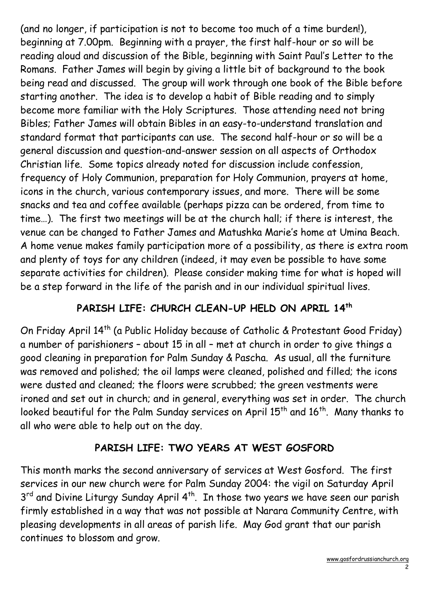(and no longer, if participation is not to become too much of a time burden!), beginning at 7.00pm. Beginning with a prayer, the first half-hour or so will be reading aloud and discussion of the Bible, beginning with Saint Paul's Letter to the Romans. Father James will begin by giving a little bit of background to the book being read and discussed. The group will work through one book of the Bible before starting another. The idea is to develop a habit of Bible reading and to simply become more familiar with the Holy Scriptures. Those attending need not bring Bibles; Father James will obtain Bibles in an easy-to-understand translation and standard format that participants can use. The second half-hour or so will be a general discussion and question-and-answer session on all aspects of Orthodox Christian life. Some topics already noted for discussion include confession, frequency of Holy Communion, preparation for Holy Communion, prayers at home, icons in the church, various contemporary issues, and more. There will be some snacks and tea and coffee available (perhaps pizza can be ordered, from time to time…). The first two meetings will be at the church hall; if there is interest, the venue can be changed to Father James and Matushka Marie's home at Umina Beach. A home venue makes family participation more of a possibility, as there is extra room and plenty of toys for any children (indeed, it may even be possible to have some separate activities for children). Please consider making time for what is hoped will be a step forward in the life of the parish and in our individual spiritual lives.

## PARISH LIFE: CHURCH CLEAN-UP HELD ON APRIL 14th

On Friday April 14<sup>th</sup> (a Public Holiday because of Catholic & Protestant Good Friday) a number of parishioners – about 15 in all – met at church in order to give things a good cleaning in preparation for Palm Sunday & Pascha. As usual, all the furniture was removed and polished; the oil lamps were cleaned, polished and filled; the icons were dusted and cleaned; the floors were scrubbed; the green vestments were ironed and set out in church; and in general, everything was set in order. The church looked beautiful for the Palm Sunday services on April 15<sup>th</sup> and 16<sup>th</sup>. Many thanks to all who were able to help out on the day.

## PARISH LIFE: TWO YEARS AT WEST GOSFORD

This month marks the second anniversary of services at West Gosford. The first services in our new church were for Palm Sunday 2004: the vigil on Saturday April 3<sup>rd</sup> and Divine Liturgy Sunday April 4<sup>th</sup>. In those two years we have seen our parish firmly established in a way that was not possible at Narara Community Centre, with pleasing developments in all areas of parish life. May God grant that our parish continues to blossom and grow.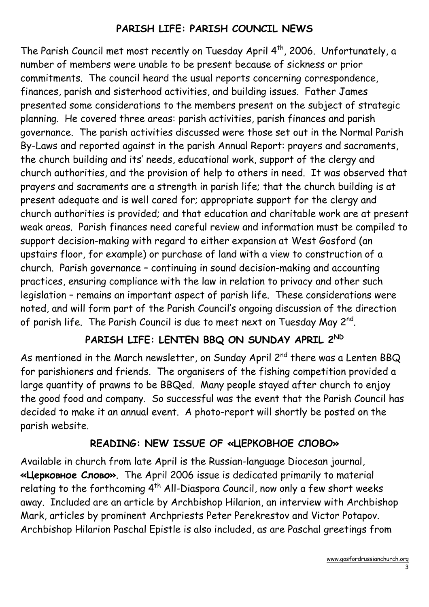#### PARISH LIFE: PARISH COUNCIL NEWS

The Parish Council met most recently on Tuesday April 4<sup>th</sup>, 2006. Unfortunately, a number of members were unable to be present because of sickness or prior commitments. The council heard the usual reports concerning correspondence, finances, parish and sisterhood activities, and building issues. Father James presented some considerations to the members present on the subject of strategic planning. He covered three areas: parish activities, parish finances and parish governance. The parish activities discussed were those set out in the Normal Parish By-Laws and reported against in the parish Annual Report: prayers and sacraments, the church building and its' needs, educational work, support of the clergy and church authorities, and the provision of help to others in need. It was observed that prayers and sacraments are a strength in parish life; that the church building is at present adequate and is well cared for; appropriate support for the clergy and church authorities is provided; and that education and charitable work are at present weak areas. Parish finances need careful review and information must be compiled to support decision-making with regard to either expansion at West Gosford (an upstairs floor, for example) or purchase of land with a view to construction of a church. Parish governance – continuing in sound decision-making and accounting practices, ensuring compliance with the law in relation to privacy and other such legislation – remains an important aspect of parish life. These considerations were noted, and will form part of the Parish Council's ongoing discussion of the direction of parish life. The Parish Council is due to meet next on Tuesday May 2 $^{\sf{nd}}$ .

## PARISH LIFE: LENTEN BBQ ON SUNDAY APRIL 2ND

As mentioned in the March newsletter, on Sunday April 2<sup>nd</sup> there was a Lenten BBQ for parishioners and friends. The organisers of the fishing competition provided a large quantity of prawns to be BBQed. Many people stayed after church to enjoy the good food and company. So successful was the event that the Parish Council has decided to make it an annual event. A photo-report will shortly be posted on the parish website.

#### READING: NEW ISSUE OF «ЦЕРКОВНОЕ СЛОВО»

Available in church from late April is the Russian-language Diocesan journal, «Церковное Слово». The April 2006 issue is dedicated primarily to material relating to the forthcoming 4<sup>th</sup> All-Diaspora Council, now only a few short weeks away. Included are an article by Archbishop Hilarion, an interview with Archbishop Mark, articles by prominent Archpriests Peter Perekrestov and Victor Potapov. Archbishop Hilarion Paschal Epistle is also included, as are Paschal greetings from